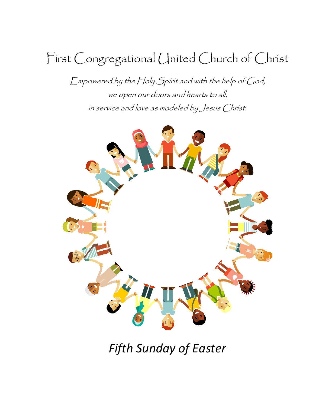# First Congregational United Church of Christ

Empowered by the Holy Spirit and with the help of God, we open our doors and hearts to all, in service and love as modeled by Jesus Christ.



*Fifth Sunday of Easter*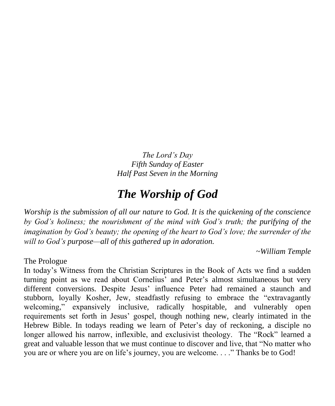*The Lord's Day Fifth Sunday of Easter Half Past Seven in the Morning*

## *The Worship of God*

*Worship is the submission of all our nature to God. It is the quickening of the conscience by God's holiness; the nourishment of the mind with God's truth; the purifying of the imagination by God's beauty; the opening of the heart to God's love; the surrender of the will to God's purpose—all of this gathered up in adoration.*

*~William Temple*

The Prologue

In today's Witness from the Christian Scriptures in the Book of Acts we find a sudden turning point as we read about Cornelius' and Peter's almost simultaneous but very different conversions. Despite Jesus' influence Peter had remained a staunch and stubborn, loyally Kosher, Jew, steadfastly refusing to embrace the "extravagantly welcoming," expansively inclusive, radically hospitable, and vulnerably open requirements set forth in Jesus' gospel, though nothing new, clearly intimated in the Hebrew Bible. In todays reading we learn of Peter's day of reckoning, a disciple no longer allowed his narrow, inflexible, and exclusivist theology. The "Rock" learned a great and valuable lesson that we must continue to discover and live, that "No matter who you are or where you are on life's journey, you are welcome. . . ." Thanks be to God!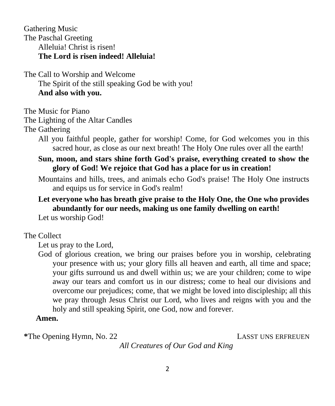Gathering Music The Paschal Greeting Alleluia! Christ is risen! **The Lord is risen indeed! Alleluia!**

The Call to Worship and Welcome

The Spirit of the still speaking God be with you! **And also with you.**

The Music for Piano

The Lighting of the Altar Candles

The Gathering

All you faithful people, gather for worship! Come, for God welcomes you in this sacred hour, as close as our next breath! The Holy One rules over all the earth!

### **Sun, moon, and stars shine forth God's praise, everything created to show the glory of God! We rejoice that God has a place for us in creation!**

Mountains and hills, trees, and animals echo God's praise! The Holy One instructs and equips us for service in God's realm!

### **Let everyone who has breath give praise to the Holy One, the One who provides abundantly for our needs, making us one family dwelling on earth!**

Let us worship God!

### The Collect

Let us pray to the Lord,

God of glorious creation, we bring our praises before you in worship, celebrating your presence with us; your glory fills all heaven and earth, all time and space; your gifts surround us and dwell within us; we are your children; come to wipe away our tears and comfort us in our distress; come to heal our divisions and overcome our prejudices; come, that we might be loved into discipleship; all this we pray through Jesus Christ our Lord, who lives and reigns with you and the holy and still speaking Spirit, one God, now and forever.

### **Amen.**

\*The Opening Hymn, No. 22 LASST UNS ERFREUEN

 *All Creatures of Our God and King*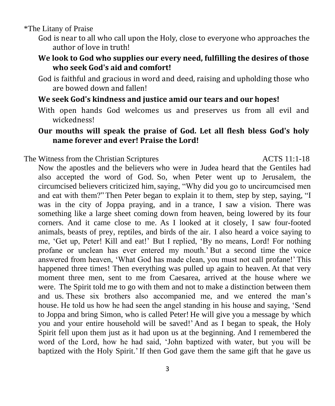\*The Litany of Praise

- God is near to all who call upon the Holy, close to everyone who approaches the author of love in truth!
- **We look to God who supplies our every need, fulfilling the desires of those who seek God's aid and comfort!**
- God is faithful and gracious in word and deed, raising and upholding those who are bowed down and fallen!

### **We seek God's kindness and justice amid our tears and our hopes!**

With open hands God welcomes us and preserves us from all evil and wickedness!

### **Our mouths will speak the praise of God. Let all flesh bless God's holy name forever and ever! Praise the Lord!**

The Witness from the Christian Scriptures **ACTS** 11:1-18

Now the apostles and the believers who were in Judea heard that the Gentiles had also accepted the word of God. So, when Peter went up to Jerusalem, the circumcised believers criticized him,saying, "Why did you go to uncircumcised men and eat with them?" Then Peter began to explain it to them, step by step, saying, "I was in the city of Joppa praying, and in a trance, I saw a vision. There was something like a large sheet coming down from heaven, being lowered by its four corners. And it came close to me. As I looked at it closely, I saw four-footed animals, beasts of prey, reptiles, and birds of the air. I also heard a voice saying to me, 'Get up, Peter! Kill and eat!' But I replied, 'By no means, Lord! For nothing profane or unclean has ever entered my mouth.' But a second time the voice answered from heaven, 'What God has made clean, you must not call profane!' This happened three times! Then everything was pulled up again to heaven. At that very moment three men, sent to me from Caesarea, arrived at the house where we were. The Spirit told me to go with them and not to make a distinction between them and us. These six brothers also accompanied me, and we entered the man's house. He told us how he had seen the angel standing in his house and saying, 'Send to Joppa and bring Simon, who is called Peter! He will give you a message by which you and your entire household will be saved!' And as I began to speak, the Holy Spirit fell upon them just as it had upon us at the beginning. And I remembered the word of the Lord, how he had said, 'John baptized with water, but you will be baptized with the Holy Spirit.' If then God gave them the same gift that he gave us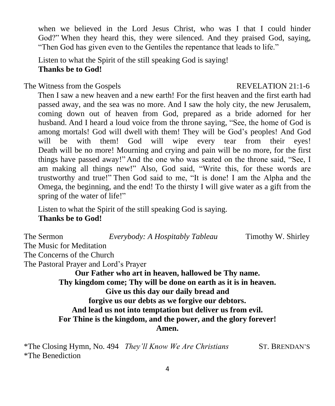when we believed in the Lord Jesus Christ, who was I that I could hinder God?" When they heard this, they were silenced. And they praised God, saying, "Then God has given even to the Gentiles the repentance that leads to life."

Listen to what the Spirit of the still speaking God is saying! **Thanks be to God!**

### The Witness from the Gospels REVELATION 21:1-6

 Then I saw a new heaven and a new earth! For the first heaven and the first earth had passed away, and the sea was no more. And I saw the holy city, the new Jerusalem, coming down out of heaven from God, prepared as a bride adorned for her husband. And I heard a loud voice from the throne saying, "See, the home of God is among mortals! God will dwell with them! They will be God's peoples! And God will be with them! God will wipe every tear from their eyes! Death will be no more! Mourning and crying and pain will be no more, for the first things have passed away!" And the one who was seated on the throne said, "See, I am making all things new!" Also, God said, "Write this, for these words are trustworthy and true!" Then God said to me, "It is done! I am the Alpha and the Omega, the beginning, and the end! To the thirsty I will give water as a gift from the spring of the water of life!"

 Listen to what the Spirit of the still speaking God is saying. **Thanks be to God!**

The Sermon *Everybody: A Hospitably Tableau* Timothy W. Shirley The Music for Meditation The Concerns of the Church The Pastoral Prayer and Lord's Prayer **Our Father who art in heaven, hallowed be Thy name. Thy kingdom come; Thy will be done on earth as it is in heaven. Give us this day our daily bread and forgive us our debts as we forgive our debtors. And lead us not into temptation but deliver us from evil. For Thine is the kingdom, and the power, and the glory forever! Amen.**

*\**The Closing Hymn, No. 494 *They'll Know We Are Christians* ST. BRENDAN'S \*The Benediction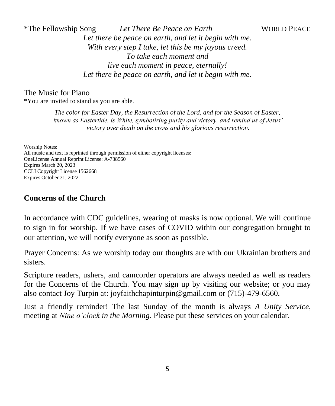\*The Fellowship Song *Let There Be Peace on Earth* WORLD PEACE *Let there be peace on earth, and let it begin with me. With every step I take, let this be my joyous creed. To take each moment and live each moment in peace, eternally! Let there be peace on earth, and let it begin with me.*

The Music for Piano

\*You are invited to stand as you are able.

*The color for Easter Day, the Resurrection of the Lord, and for the Season of Easter, known as Eastertide, is White, symbolizing purity and victory, and remind us of Jesus' victory over death on the cross and his glorious resurrection.*

Worship Notes: All music and text is reprinted through permission of either copyright licenses: OneLicense Annual Reprint License: A-738560 Expires March 20, 2023 CCLI Copyright License 1562668 Expires October 31, 2022

### **Concerns of the Church**

In accordance with CDC guidelines, wearing of masks is now optional. We will continue to sign in for worship. If we have cases of COVID within our congregation brought to our attention, we will notify everyone as soon as possible.

Prayer Concerns: As we worship today our thoughts are with our Ukrainian brothers and sisters.

Scripture readers, ushers, and camcorder operators are always needed as well as readers for the Concerns of the Church. You may sign up by visiting our website; or you may also contact Joy Turpin at: joyfaithchapinturpin@gmail.com or (715)-479-6560.

Just a friendly reminder! The last Sunday of the month is always *A Unity Service*, meeting at *Nine o'clock in the Morning*. Please put these services on your calendar.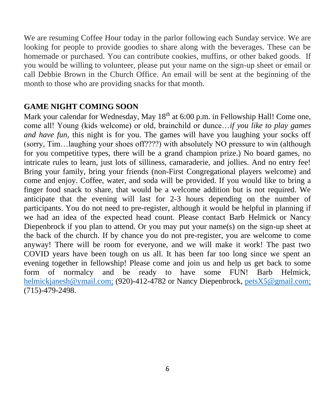We are resuming Coffee Hour today in the parlor following each Sunday service. We are looking for people to provide goodies to share along with the beverages. These can be homemade or purchased. You can contribute cookies, muffins, or other baked goods. If you would be willing to volunteer, please put your name on the sign-up sheet or email or call Debbie Brown in the Church Office. An email will be sent at the beginning of the month to those who are providing snacks for that month.

### **GAME NIGHT COMING SOON**

Mark your calendar for Wednesday, May  $18<sup>th</sup>$  at 6:00 p.m. in Fellowship Hall! Come one, come all! Young (kids welcome) or old, brainchild or dunce…*if you like to play games and have fun,* this night is for you. The games will have you laughing your socks off (sorry, Tim…laughing your shoes off????) with absolutely NO pressure to win (although for you competitive types, there will be a grand champion prize.) No board games, no intricate rules to learn, just lots of silliness, camaraderie, and jollies. And no entry fee! Bring your family, bring your friends (non-First Congregational players welcome) and come and enjoy. Coffee, water, and soda will be provided. If you would like to bring a finger food snack to share, that would be a welcome addition but is not required. We anticipate that the evening will last for 2-3 hours depending on the number of participants. You do not need to pre-register, although it would be helpful in planning if we had an idea of the expected head count. Please contact Barb Helmick or Nancy Diepenbrock if you plan to attend. Or you may put your name(s) on the sign-up sheet at the back of the church. If by chance you do not pre-register, you are welcome to come anyway! There will be room for everyone, and we will make it work! The past two COVID years have been tough on us all. It has been far too long since we spent an evening together in fellowship! Please come and join us and help us get back to some form of normalcy and be ready to have some FUN! Barb Helmick, [helmickjanesh@ymail.com;](mailto:helmickjanesh@ymail.com) (920)-412-4782 or Nancy Diepenbrock, [petsX5@gmail.com;](mailto:petsX5@gmail.com) (715)-479-2498.